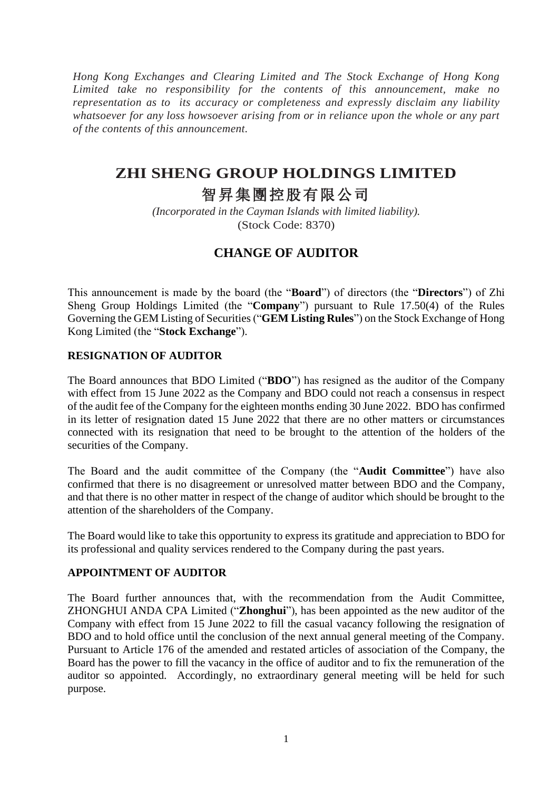*Hong Kong Exchanges and Clearing Limited and The Stock Exchange of Hong Kong Limited take no responsibility for the contents of this announcement, make no representation as to its accuracy or completeness and expressly disclaim any liability whatsoever for any loss howsoever arising from or in reliance upon the whole or any part of the contents of this announcement.*

## **ZHI SHENG GROUP HOLDINGS LIMITED**

# 智昇集團控股有限公司

*(Incorporated in the Cayman Islands with limited liability).* (Stock Code: 8370)

### **CHANGE OF AUDITOR**

This announcement is made by the board (the "**Board**") of directors (the "**Directors**") of Zhi Sheng Group Holdings Limited (the "**Company**") pursuant to Rule 17.50(4) of the Rules Governing the GEM Listing of Securities ("**GEM Listing Rules**") on the Stock Exchange of Hong Kong Limited (the "**Stock Exchange**").

### **RESIGNATION OF AUDITOR**

The Board announces that BDO Limited ("**BDO**") has resigned as the auditor of the Company with effect from 15 June 2022 as the Company and BDO could not reach a consensus in respect of the audit fee of the Company for the eighteen months ending 30 June 2022. BDO has confirmed in its letter of resignation dated 15 June 2022 that there are no other matters or circumstances connected with its resignation that need to be brought to the attention of the holders of the securities of the Company.

The Board and the audit committee of the Company (the "**Audit Committee**") have also confirmed that there is no disagreement or unresolved matter between BDO and the Company, and that there is no other matter in respect of the change of auditor which should be brought to the attention of the shareholders of the Company.

The Board would like to take this opportunity to express its gratitude and appreciation to BDO for its professional and quality services rendered to the Company during the past years.

### **APPOINTMENT OF AUDITOR**

The Board further announces that, with the recommendation from the Audit Committee, ZHONGHUI ANDA CPA Limited ("**Zhonghui**"), has been appointed as the new auditor of the Company with effect from 15 June 2022 to fill the casual vacancy following the resignation of BDO and to hold office until the conclusion of the next annual general meeting of the Company. Pursuant to Article 176 of the amended and restated articles of association of the Company, the Board has the power to fill the vacancy in the office of auditor and to fix the remuneration of the auditor so appointed. Accordingly, no extraordinary general meeting will be held for such purpose.